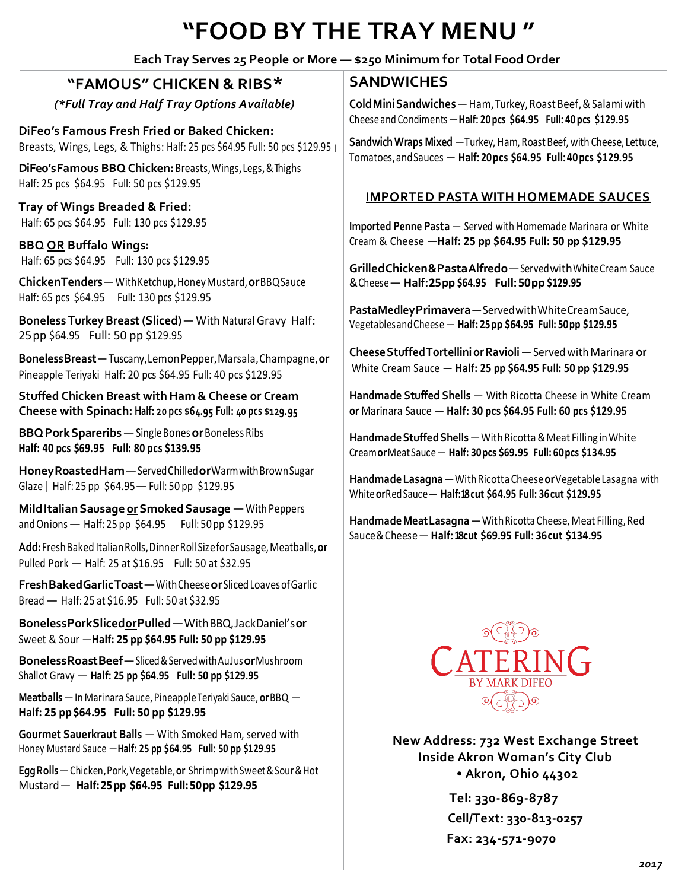# **"FOOD BY THE TRAY MENU "**

#### **Each Tray Serves 25 People or More — \$250 Minimum for Total Food Order**

### **"FAMOUS" CHICKEN & RIBS\***

*(\*Full Tray and Half Tray Options Available)*

**DiFeo's Famous Fresh Fried or Baked Chicken:** Breasts, Wings, Legs, & Thighs: Half: 25 pcs \$64.95 Full: 50 pcs \$129.95 <sup>|</sup>

**DiFeo'sFamous BBQChicken:**Breasts,Wings,Legs,&Thighs Half: 25 pcs \$64.95 Full: 50 pcs \$129.95

**Tray of Wings Breaded & Fried:** Half: 65 pcs \$64.95 Full: 130 pcs \$129.95

**BBQ OR Buffalo Wings:** Half: 65 pcs \$64.95 Full: 130 pcs \$129.95

**ChickenTenders**—WithKetchup,HoneyMustard,**or**BBQSauce Half: 65 pcs \$64.95 Full: 130 pcs \$129.95

**Boneless TurkeyBreast(Sliced)**— With Natural Gravy Half: 25pp \$64.95 Full: 50 pp \$129.95

**BonelessBreast**—Tuscany,LemonPepper,Marsala,Champagne,**or** Pineapple Teriyaki Half: 20 pcs \$64.95 Full: 40 pcs \$129.95

**Stuffed Chicken Breast with Ham & Cheese or Cream Cheese with Spinach: Half: 20 pcs \$64.95 Full: 40 pcs \$129.95**

**BBQPorkSpareribs**—SingleBones**or**Boneless Ribs **Half: 40 pcs \$69.95 Full: 80 pcs \$139.95**

**HoneyRoastedHam**—ServedChilled**or**WarmwithBrownSugar Glaze | Half: 25 pp \$64.95—Full: 50 pp \$129.95

**MildItalianSausageorSmokedSausage** —With Peppers andOnions— Half: 25 pp \$64.95 Full: 50 pp \$129.95

**Add:**FreshBaked ItalianRolls,DinnerRollSizeforSausage,Meatballs,**or** Pulled Pork — Half: 25 at \$16.95 Full: 50 at \$32.95

**FreshBakedGarlicToast**—WithCheese**or**SlicedLoavesofGarlic Bread— Half: 25 at \$16.95 Full: 50 at \$32.95

**BonelessPorkSlicedorPulled**—WithBBQ,JackDaniel's**or** Sweet & Sour —**Half: 25 pp \$64.95 Full: 50 pp \$129.95**

**BonelessRoastBeef**—Sliced&ServedwithAuJus**or**Mushroom Shallot Gravy — **Half: 25 pp \$64.95 Full: 50 pp \$129.95**

**Meatballs** —In Marinara Sauce, PineappleTeriyaki Sauce, **or**BBQ — **Half: 25 pp\$64.95 Full: 50 pp \$129.95**

**Gourmet Sauerkraut Balls** — With Smoked Ham, served with Honey Mustard Sauce —**Half: 25 pp \$64.95 Full: 50 pp \$129.95** 

**EggRolls**—Chicken,Pork,Vegetable,**or** ShrimpwithSweet&Sour&Hot Mustard— **Half:25pp \$64.95 Full:50pp \$129.95**

#### **SANDWICHES**

**Cold Mini Sandwiches** — Ham, Turkey, Roast Beef, & Salami with Cheeseand Condiments—**Half: 20 pcs \$64.95 Full: 40 pcs \$129.95**

**Sandwich Wraps Mixed** — Turkey, Ham, Roast Beef, with Cheese, Lettuce, Tomatoes,andSauces — **Half: 20pcs \$64.95 Full:40pcs \$129.95**

#### **IMPORTED PASTA WITH HOMEMADE SAUCES**

**Imported Penne Pasta** — Served with Homemade Marinara or White Cream & Cheese —**Half: 25 pp \$64.95 Full: 50 pp \$129.95**

**GrilledChicken&PastaAlfredo**—ServedwithWhiteCream Sauce &Cheese— **Half:25pp \$64.95 Full:50pp \$129.95**

**PastaMedleyPrimavera**—ServedwithWhiteCreamSauce, VegetablesandCheese— **Half: 25pp \$64.95 Full: 50pp \$129.95**

**CheeseStuffedTortelliniorRavioli**—ServedwithMarinara **or** White Cream Sauce — **Half: 25 pp \$64.95 Full: 50 pp \$129.95**

**Handmade Stuffed Shells** — With Ricotta Cheese in White Cream **or** Marinara Sauce — **Half: 30 pcs \$64.95 Full: 60 pcs \$129.95**

**HandmadeStuffedShells**—WithRicotta&Meat Filling inWhite Cream**or**MeatSauce— **Half: 30pcs \$69.95 Full: 60pcs \$134.95**

**HandmadeLasagna**—WithRicottaCheese**or**VegetableLasagna with White**or**RedSauce— **Half:18 cut \$64.95 Full: 36cut \$129.95**

**Handmade MeatLasagna**—WithRicotta Cheese, Meat Filling,Red Sauce&Cheese— **Half:18cut \$69.95 Full: 36cut \$134.95**



**New Address: 732 West Exchange Street Inside Akron Woman's City Club • Akron, Ohio 44302**

> **Tel: 330-869-8787 Cell/Text: 330-813-0257 Fax: 234-571-9070**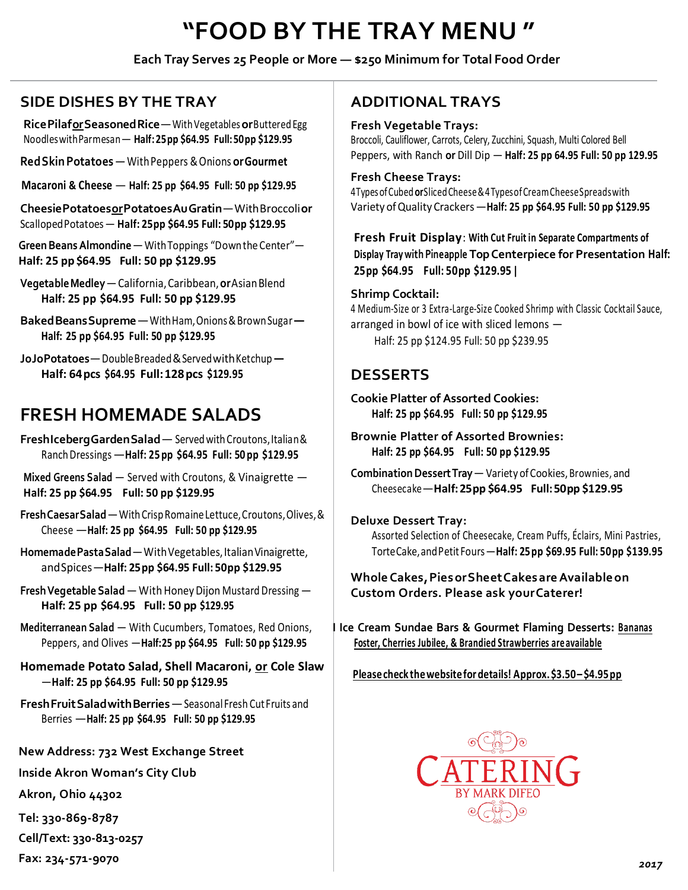# **"FOOD BY THE TRAY MENU "**

#### **Each Tray Serves 25 People or More — \$250 Minimum for Total Food Order**

## **SIDE DISHES BY THE TRAY**

**RicePilaforSeasonedRice**—WithVegetables**or**ButteredEgg NoodleswithParmesan— **Half:25pp \$64.95 Full:50pp \$129.95**

**RedSkinPotatoes**—WithPeppers &Onions **orGourmet**

**Macaroni & Cheese** — **Half: 25 pp \$64.95 Full: 50 pp \$129.95**

**CheesiePotatoesorPotatoesAuGratin**—WithBroccoli**or** ScallopedPotatoes— **Half: 25pp \$64.95 Full: 50pp \$129.95**

**GreenBeansAlmondine**—WithToppings "DowntheCenter"— **Half: 25 pp \$64.95 Full: 50 pp \$129.95**

**VegetableMedley**—California,Caribbean,**or**AsianBlend **Half: 25 pp \$64.95 Full: 50 pp \$129.95**

**BakedBeansSupreme**—WithHam,Onions&BrownSugar**— Half: 25 pp \$64.95 Full: 50 pp \$129.95**

**JoJoPotatoes**—DoubleBreaded&ServedwithKetchup**— Half: 64pcs \$64.95 Full:128pcs \$129.95** 

# **FRESH HOMEMADE SALADS**

FreshIcebergGardenSalad<sup>-</sup>Served with Croutons, Italian & RanchDressings—**Half: 25 pp \$64.95 Full: 50 pp \$129.95**

**Mixed Greens Salad** — Served with Croutons, & Vinaigrette — **Half: 25 pp \$64.95 Full: 50 pp \$129.95**

**FreshCaesarSalad**—WithCrispRomaineLettuce,Croutons,Olives,& Cheese —**Half: 25 pp \$64.95 Full: 50 pp \$129.95**

Homemade Pasta Salad - With Vegetables, Italian Vinaigrette, andSpices—**Half: 25pp \$64.95 Full: 50pp \$129.95**

**Fresh Vegetable Salad** — With Honey Dijon Mustard Dressing — **Half: 25 pp \$64.95 Full: 50 pp \$129.95**

**Mediterranean Salad** — With Cucumbers, Tomatoes, Red Onions, Peppers, and Olives —**Half:25 pp \$64.95 Full: 50 pp \$129.95**

**Homemade Potato Salad, Shell Macaroni, or Cole Slaw** —**Half: 25 pp \$64.95 Full: 50 pp \$129.95**

**FreshFruitSaladwithBerries**—Seasonal Fresh Cut Fruits and Berries —**Half: 25 pp \$64.95 Full: 50 pp \$129.95**

**New Address: 732 West Exchange Street**

**Inside Akron Woman's City Club**

**Akron, Ohio 44302**

**Tel: 330-869-8787**

**Cell/Text: 330-813-0257**

**Fax: 234-571-9070** 

## **ADDITIONAL TRAYS**

**Fresh Vegetable Trays:**

Broccoli, Cauliflower, Carrots, Celery, Zucchini, Squash, Multi Colored Bell Peppers, with Ranch **or** Dill Dip — **Half: 25 pp 64.95 Full: 50 pp 129.95**

#### **Fresh Cheese Trays:**

4TypesofCubed**or**SlicedCheese&4TypesofCreamCheeseSpreadswith Variety ofQuality Crackers—**Half: 25 pp \$64.95 Full: 50 pp \$129.95**

**Fresh Fruit Display**: **With Cut Fruit in Separate Compartments of Display Tray with Pineapple Top Centerpiece for Presentation Half: 25pp \$64.95 Full: 50pp \$129.95 |**

**Shrimp Cocktail:**

4 Medium-Size or 3 Extra-Large-Size Cooked Shrimp with Classic Cocktail Sauce, arranged in bowl of ice with sliced lemons — Half: 25 pp \$124.95 Full: 50 pp \$239.95

## **DESSERTS**

**Cookie Platter of Assorted Cookies: Half: 25 pp \$64.95 Full: 50 pp \$129.95** 

**Brownie Platter of Assorted Brownies: Half: 25 pp \$64.95 Full: 50 pp \$129.95**

**Combination Dessert Tray** — Variety of Cookies, Brownies, and Cheesecake—**Half:25pp \$64.95 Full:50pp \$129.95**

#### **Deluxe Dessert Tray:**

Assorted Selection of Cheesecake, Cream Puffs, Éclairs, Mini Pastries, TorteCake,andPetit Fours—**Half: 25pp \$69.95 Full: 50pp \$139.95**

**WholeCakes,PiesorSheetCakesareAvailableon Custom Orders. Please ask yourCaterer!**

**I Ice Cream Sundae Bars & Gourmet Flaming Desserts: Bananas Foster, Cherries Jubilee, & Brandied Strawberries areavailable**

**Pleasecheck thewebsitefor details! Approx.\$3.50– \$4.95pp**